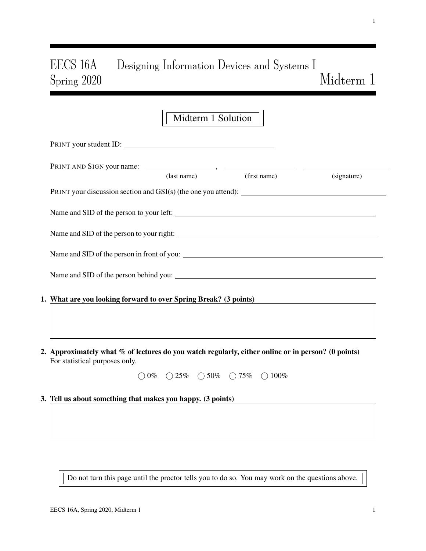# EECS 16A Designing Information Devices and Systems I Spring 2020 Midterm 1

|                                                                                                                                      | Midterm 1 Solution |                                                  |             |
|--------------------------------------------------------------------------------------------------------------------------------------|--------------------|--------------------------------------------------|-------------|
| PRINT your student ID:                                                                                                               |                    |                                                  |             |
|                                                                                                                                      | (last name)        | (first name)                                     | (signature) |
|                                                                                                                                      |                    |                                                  |             |
|                                                                                                                                      |                    |                                                  |             |
|                                                                                                                                      |                    |                                                  |             |
| Name and SID of the person in front of you:                                                                                          |                    |                                                  |             |
|                                                                                                                                      |                    |                                                  |             |
| 1. What are you looking forward to over Spring Break? (3 points)                                                                     |                    |                                                  |             |
|                                                                                                                                      |                    |                                                  |             |
| 2. Approximately what % of lectures do you watch regularly, either online or in person? (0 points)<br>For statistical purposes only. |                    |                                                  |             |
|                                                                                                                                      |                    | $0\%$ $0\%$ $0.25\%$ $0.50\%$ $0.75\%$ $0.100\%$ |             |
| 3. Tell us about something that makes you happy. (3 points)                                                                          |                    |                                                  |             |
|                                                                                                                                      |                    |                                                  |             |
|                                                                                                                                      |                    |                                                  |             |

Do not turn this page until the proctor tells you to do so. You may work on the questions above.

1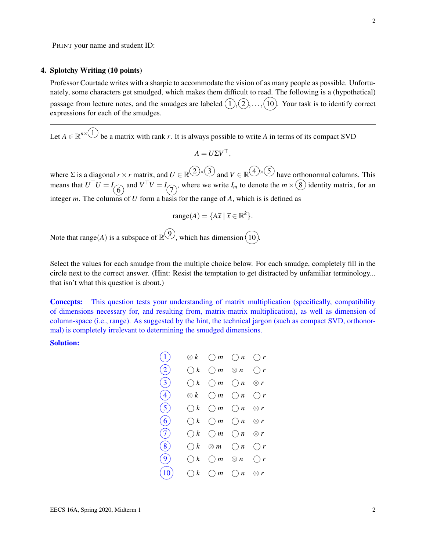## 4. Splotchy Writing (10 points)

Professor Courtade writes with a sharpie to accommodate the vision of as many people as possible. Unfortunately, some characters get smudged, which makes them difficult to read. The following is a (hypothetical) passage from lecture notes, and the smudges are labeled  $(1), (2), \ldots, (10)$ . Your task is to identify correct expressions for each of the smudges.

Let  $A \in \mathbb{R}^{n \times (1)}$  be a matrix with rank *r*. It is always possible to write *A* in terms of its compact SVD

$$
A = U \Sigma V^{\top},
$$

where  $\Sigma$  is a diagonal  $r \times r$  matrix, and  $U \in \mathbb{R}^{(1) \times (3)}$  and  $V \in \mathbb{R}^{(4) \times (5)}$  have orthonormal columns. This means that  $U^{\top}U = I_{\widehat{O}}$  and  $V^{\top}V = I_{\widehat{O}}$ , where we write  $I_m$  to denote the  $m \times (8)$  identity matrix, for an integer *m*. The columns of *U* form a basis for the range of *A*, which is is defined as

$$
range(A) = \{A\vec{x} \mid \vec{x} \in \mathbb{R}^k\}.
$$

Note that range(*A*) is a subspace of  $\mathbb{R}^{(9)}$ , which has dimension  $(10)$ .

Select the values for each smudge from the multiple choice below. For each smudge, completely fill in the circle next to the correct answer. (Hint: Resist the temptation to get distracted by unfamiliar terminology... that isn't what this question is about.)

Concepts: This question tests your understanding of matrix multiplication (specifically, compatibility of dimensions necessary for, and resulting from, matrix-matrix multiplication), as well as dimension of column-space (i.e., range). As suggested by the hint, the technical jargon (such as compact SVD, orthonormal) is completely irrelevant to determining the smudged dimensions.

Solution:

| (1)               | $\otimes$ $k$ |                                                          | $\bigcirc m$ $\bigcirc n$ $\bigcirc r$  |  |
|-------------------|---------------|----------------------------------------------------------|-----------------------------------------|--|
| (2)               | $\bigcirc k$  |                                                          | $\bigcirc m \otimes n \circ \bigcirc r$ |  |
| (3)               | $\bigcirc k$  |                                                          | $\bigcirc m$ $\bigcirc n$ $\otimes r$   |  |
| $\left( 4\right)$ |               | $\otimes k$ $\bigcirc m$ $\bigcirc n$ $\bigcirc r$       |                                         |  |
| (5)               | $\bigcirc k$  |                                                          | $\bigcirc m$ $\bigcirc n$ $\otimes r$   |  |
| (6)               | $\bigcirc k$  | $\bigcirc$ m                                             | $\bigcirc n \otimes r$                  |  |
| (7)               |               | $\bigcirc k$ $\bigcirc m$ $\bigcirc n$ $\otimes r$       |                                         |  |
| (8)               |               | $\bigcirc k \otimes m \circ \bigcirc n \circ \bigcirc r$ |                                         |  |
| (9)               |               | $\bigcirc k$ $\bigcirc m$ $\otimes n$ $\bigcirc r$       |                                         |  |
| (10)              |               | $\bigcirc k$ $\bigcirc m$ $\bigcirc n$ $\otimes r$       |                                         |  |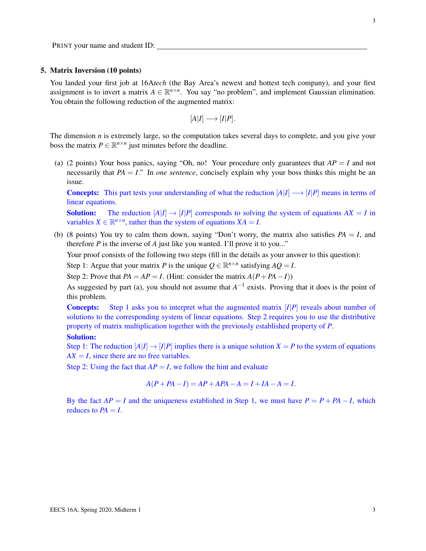PRINT your name and student ID:

### 5. Matrix Inversion (10 points)

You landed your first job at 16A*tech* (the Bay Area's newest and hottest tech company), and your first assignment is to invert a matrix  $A \in \mathbb{R}^{n \times n}$ . You say "no problem", and implement Gaussian elimination. You obtain the following reduction of the augmented matrix:

$$
[A|I] \longrightarrow [I|P].
$$

The dimension *n* is extremely large, so the computation takes several days to complete, and you give your boss the matrix  $P \in \mathbb{R}^{n \times n}$  just minutes before the deadline.

(a) (2 points) Your boss panics, saying "Oh, no! Your procedure only guarantees that  $AP = I$  and not necessarily that  $PA = I$ ." In *one sentence*, concisely explain why your boss thinks this might be an issue.

**Concepts:** This part tests your understanding of what the reduction  $[A|I] \rightarrow [I|P]$  means in terms of linear equations.

**Solution:** The reduction  $[A|I] \rightarrow [I|P]$  corresponds to solving the system of equations  $AX = I$  in variables  $X \in \mathbb{R}^{n \times n}$ , rather than the system of equations  $XA = I$ .

(b) (8 points) You try to calm them down, saying "Don't worry, the matrix also satisfies  $PA = I$ , and therefore *P* is the inverse of *A* just like you wanted. I'll prove it to you..."

Your proof consists of the following two steps (fill in the details as your answer to this question):

Step 1: Argue that your matrix *P* is the unique  $Q \in \mathbb{R}^{n \times n}$  satisfying  $AQ = I$ .

Step 2: Prove that  $PA = AP = I$ . (Hint: consider the matrix  $A(P + PA - I)$ )

As suggested by part (a), you should not assume that  $A^{-1}$  exists. Proving that it does is the point of this problem.

Concepts: Step 1 asks you to interpret what the augmented matrix [*I*|*P*] reveals about number of solutions to the corresponding system of linear equations. Step 2 requires you to use the distributive property of matrix multiplication together with the previously established property of *P*.

#### Solution:

Step 1: The reduction  $[A|I] \rightarrow [I|P]$  implies there is a unique solution  $X = P$  to the system of equations  $AX = I$ , since there are no free variables.

Step 2: Using the fact that  $AP = I$ , we follow the hint and evaluate

$$
A(P+PA-I) = AP +APA - A = I + IA - A = I.
$$

By the fact  $AP = I$  and the uniqueness established in Step 1, we must have  $P = P + PA - I$ , which reduces to  $PA = I$ .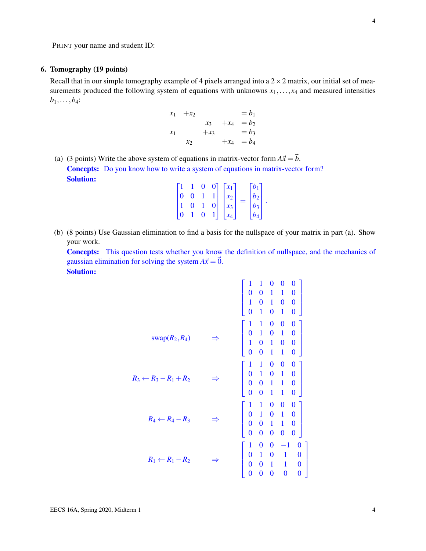# 6. Tomography (19 points)

Recall that in our simple tomography example of 4 pixels arranged into a  $2 \times 2$  matrix, our initial set of measurements produced the following system of equations with unknowns  $x_1, \ldots, x_4$  and measured intensities  $b_1, \ldots, b_4$ :

$$
x_1 + x_2 = b_1
$$
  
\n
$$
x_3 + x_4 = b_2
$$
  
\n
$$
x_1 + x_3 = b_3
$$
  
\n
$$
x_2 + x_4 = b_4
$$

(a) (3 points) Write the above system of equations in matrix-vector form  $A\vec{x} = \vec{b}$ . Concepts: Do you know how to write a system of equations in matrix-vector form? Solution:

|  |                | $\Omega$ | $\Omega$ | $x_1$           | $\bar{b}_1$      |                      |
|--|----------------|----------|----------|-----------------|------------------|----------------------|
|  | $\overline{0}$ |          |          | $x_2$           | b <sub>2</sub>   |                      |
|  | $\mathbf{0}$   |          |          | $x_3$           | $\overline{b_3}$ | $\ddot{\phantom{0}}$ |
|  |                | 0        |          | $\mathcal{X}_4$ | $b_{4,1}$        |                      |

(b) (8 points) Use Gaussian elimination to find a basis for the nullspace of your matrix in part (a). Show your work.

Concepts: This question tests whether you know the definition of nullspace, and the mechanics of gaussian elimination for solving the system  $A\vec{x} = \vec{0}$ . Solution:

| $swap(R_2, R_4)$                 | $\begin{array}{cccc c} 1 & 1 & 0 & 0 & 0 \\ 0 & 1 & 0 & 1 & 0 \\ 1 & 0 & 1 & 0 & 0 \\ 0 & 0 & 1 & 1 & 0 \\ \end{array}$                                                                                    |
|----------------------------------|------------------------------------------------------------------------------------------------------------------------------------------------------------------------------------------------------------|
| $R_3 \leftarrow R_3 - R_1 + R_2$ | $\begin{array}{cccc} 0&1&1&0&0&\cup\ 1&1&0&0&\cup\ 0&1&0&1&0 \end{array}$<br>$\begin{array}{cccc} 0&0&1&1&0&0\ 0&0&1&1&0\ 0&0&1&1&0\end{array}$                                                            |
| $R_4 \leftarrow R_4 - R_3$       | $\begin{array}{ccc c} 1 & 1 & 0 & 0 & 0 \\ 0 & 1 & 0 & 1 & 0 \\ 0 & 0 & 1 & 1 & 0 \end{array}$<br>$\overline{0}$<br>$\boldsymbol{0}$<br>$\bf{0}$<br>$\bf{0}$<br>0                                          |
| $R_1 \leftarrow R_1 - R_2$       | $\begin{array}{cccc} 1 & 0 & 0 & -1 \\ 0 & 1 & 0 & 1 \\ 0 & 0 & 1 & 1 \end{array}$<br>$\begin{matrix}0\\0\end{matrix}$<br>$\overline{0}$<br>$\overline{0}$<br>$\overline{0}$<br>$\overline{0}$<br>$\bf{0}$ |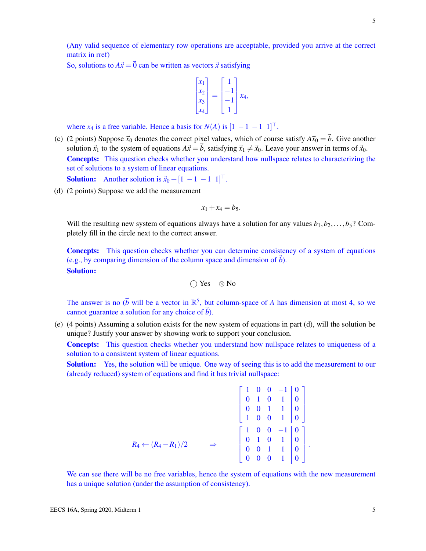(Any valid sequence of elementary row operations are acceptable, provided you arrive at the correct matrix in rref)

So, solutions to  $A\vec{x} = \vec{0}$  can be written as vectors  $\vec{x}$  satisfying

$$
\begin{bmatrix} x_1 \\ x_2 \\ x_3 \\ x_4 \end{bmatrix} = \begin{bmatrix} 1 \\ -1 \\ -1 \\ 1 \end{bmatrix} x_4,
$$

where  $x_4$  is a free variable. Hence a basis for  $N(A)$  is  $[1 -1 -1 1]^\top$ .

- (c) (2 points) Suppose  $\vec{x}_0$  denotes the correct pixel values, which of course satisfy  $A\vec{x}_0 = \vec{b}$ . Give another solution  $\vec{x}_1$  to the system of equations  $A\vec{x} = \vec{b}$ , satisfying  $\vec{x}_1 \neq \vec{x}_0$ . Leave your answer in terms of  $\vec{x}_0$ . Concepts: This question checks whether you understand how nullspace relates to characterizing the set of solutions to a system of linear equations. **Solution:** Another solution is  $\vec{x}_0 + \begin{bmatrix} 1 & -1 & -1 & 1 \end{bmatrix}^\top$ .
- (d) (2 points) Suppose we add the measurement

$$
x_1+x_4=b_5.
$$

Will the resulting new system of equations always have a solution for any values  $b_1, b_2, \ldots, b_5$ ? Completely fill in the circle next to the correct answer.

Concepts: This question checks whether you can determine consistency of a system of equations (e.g., by comparing dimension of the column space and dimension of  $\vec{b}$ ). Solution:

$$
\bigcirc\, Yes \quad \otimes No
$$

The answer is no  $(\vec{b}$  will be a vector in  $\mathbb{R}^5$ , but column-space of *A* has dimension at most 4, so we cannot guarantee a solution for any choice of  $\vec{b}$ ).

(e) (4 points) Assuming a solution exists for the new system of equations in part (d), will the solution be unique? Justify your answer by showing work to support your conclusion.

Concepts: This question checks whether you understand how nullspace relates to uniqueness of a solution to a consistent system of linear equations.

**Solution:** Yes, the solution will be unique. One way of seeing this is to add the measurement to our (already reduced) system of equations and find it has trivial nullspace:

$$
R_4 \leftarrow (R_4 - R_1)/2 \qquad \Rightarrow \qquad \begin{bmatrix} 1 & 0 & 0 & -1 & 0 \\ 0 & 1 & 0 & 1 & 0 \\ 0 & 0 & 1 & 1 & 0 \\ 1 & 0 & 0 & 1 & 0 \\ 0 & 1 & 0 & 1 & 0 \\ 0 & 0 & 1 & 1 & 0 \\ 0 & 0 & 0 & 1 & 0 \end{bmatrix}.
$$

We can see there will be no free variables, hence the system of equations with the new measurement has a unique solution (under the assumption of consistency).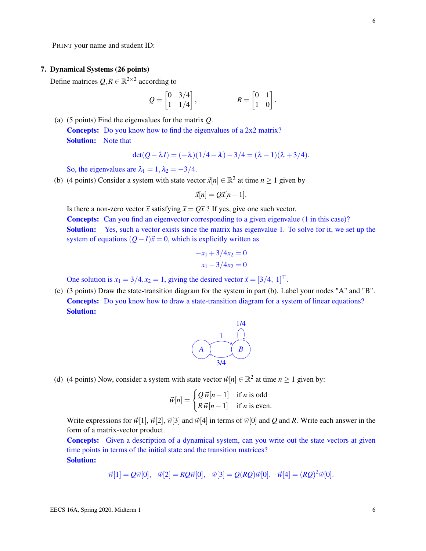## 7. Dynamical Systems (26 points)

Define matrices  $Q, R \in \mathbb{R}^{2 \times 2}$  according to

$$
Q = \begin{bmatrix} 0 & 3/4 \\ 1 & 1/4 \end{bmatrix}, \qquad R = \begin{bmatrix} 0 & 1 \\ 1 & 0 \end{bmatrix}.
$$

(a) (5 points) Find the eigenvalues for the matrix *Q*. Concepts: Do you know how to find the eigenvalues of a 2x2 matrix? Solution: Note that

$$
det(Q - \lambda I) = (-\lambda)(1/4 - \lambda) - 3/4 = (\lambda - 1)(\lambda + 3/4).
$$

So, the eigenvalues are  $\lambda_1 = 1, \lambda_2 = -3/4$ .

(b) (4 points) Consider a system with state vector  $\vec{x}[n] \in \mathbb{R}^2$  at time  $n \ge 1$  given by

$$
\vec{x}[n] = Q\vec{x}[n-1].
$$

Is there a non-zero vector  $\vec{x}$  satisfying  $\vec{x} = Q\vec{x}$  ? If yes, give one such vector.

**Concepts:** Can you find an eigenvector corresponding to a given eigenvalue (1 in this case)? **Solution:** Yes, such a vector exists since the matrix has eigenvalue 1. To solve for it, we set up the system of equations  $(Q-I)\vec{x} = 0$ , which is explicitly written as

$$
-x_1 + 3/4x_2 = 0
$$
  

$$
x_1 - 3/4x_2 = 0
$$

One solution is  $x_1 = 3/4, x_2 = 1$ , giving the desired vector  $\vec{x} = [3/4, 1]^\top$ .

(c) (3 points) Draw the state-transition diagram for the system in part (b). Label your nodes "A" and "B". **Concepts:** Do you know how to draw a state-transition diagram for a system of linear equations? Solution:



(d) (4 points) Now, consider a system with state vector  $\vec{w}[n] \in \mathbb{R}^2$  at time  $n \ge 1$  given by:

$$
\vec{w}[n] = \begin{cases} Q \, \vec{w}[n-1] & \text{if } n \text{ is odd} \\ R \, \vec{w}[n-1] & \text{if } n \text{ is even.} \end{cases}
$$

Write expressions for  $\vec{w}[1], \vec{w}[2], \vec{w}[3]$  and  $\vec{w}[4]$  in terms of  $\vec{w}[0]$  and *Q* and *R*. Write each answer in the form of a matrix-vector product.

Concepts: Given a description of a dynamical system, can you write out the state vectors at given time points in terms of the initial state and the transition matrices? Solution:

$$
\vec{w}[1] = Q\vec{w}[0], \quad \vec{w}[2] = RQ\vec{w}[0], \quad \vec{w}[3] = Q(RQ)\vec{w}[0], \quad \vec{w}[4] = (RQ)^2\vec{w}[0].
$$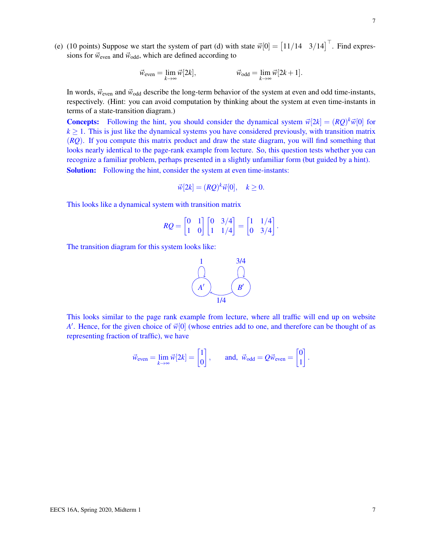(e) (10 points) Suppose we start the system of part (d) with state  $\vec{w}[0] = \begin{bmatrix} 11/14 & 3/14 \end{bmatrix}^{\top}$ . Find expressions for  $\vec{w}_{even}$  and  $\vec{w}_{odd}$ , which are defined according to

$$
\vec{w}_{\text{even}} = \lim_{k \to \infty} \vec{w}[2k], \qquad \qquad \vec{w}_{\text{odd}} = \lim_{k \to \infty} \vec{w}[2k+1].
$$

In words,  $\vec{w}_{even}$  and  $\vec{w}_{odd}$  describe the long-term behavior of the system at even and odd time-instants, respectively. (Hint: you can avoid computation by thinking about the system at even time-instants in terms of a state-transition diagram.)

**Concepts:** Following the hint, you should consider the dynamical system  $\vec{w}[2k] = (RQ)^k \vec{w}[0]$  for  $k \geq 1$ . This is just like the dynamical systems you have considered previously, with transition matrix (*RQ*). If you compute this matrix product and draw the state diagram, you will find something that looks nearly identical to the page-rank example from lecture. So, this question tests whether you can recognize a familiar problem, perhaps presented in a slightly unfamiliar form (but guided by a hint). Solution: Following the hint, consider the system at even time-instants:

$$
\vec{w}[2k] = (RQ)^k \vec{w}[0], \quad k \ge 0.
$$

This looks like a dynamical system with transition matrix

$$
RQ = \begin{bmatrix} 0 & 1 \\ 1 & 0 \end{bmatrix} \begin{bmatrix} 0 & 3/4 \\ 1 & 1/4 \end{bmatrix} = \begin{bmatrix} 1 & 1/4 \\ 0 & 3/4 \end{bmatrix}.
$$

The transition diagram for this system looks like:



This looks similar to the page rank example from lecture, where all traffic will end up on website *A*<sup> $\prime$ </sup>. Hence, for the given choice of  $\vec{w}[0]$  (whose entries add to one, and therefore can be thought of as representing fraction of traffic), we have

$$
\vec{w}_{\text{even}} = \lim_{k \to \infty} \vec{w}[2k] = \begin{bmatrix} 1 \\ 0 \end{bmatrix}, \quad \text{and, } \vec{w}_{\text{odd}} = Q\vec{w}_{\text{even}} = \begin{bmatrix} 0 \\ 1 \end{bmatrix}.
$$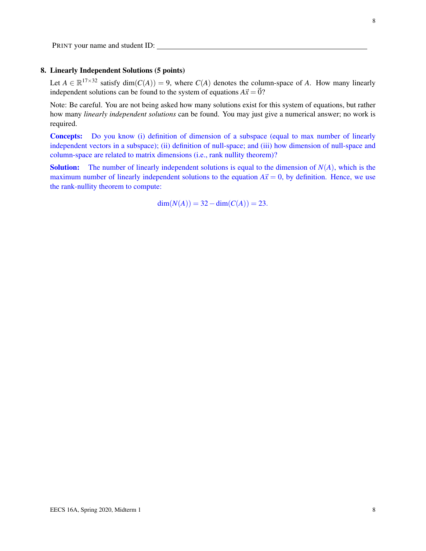# 8. Linearly Independent Solutions (5 points)

Let  $A \in \mathbb{R}^{17 \times 32}$  satisfy dim( $C(A)$ ) = 9, where  $C(A)$  denotes the column-space of *A*. How many linearly independent solutions can be found to the system of equations  $A\vec{x} = \vec{0}$ ?

Note: Be careful. You are not being asked how many solutions exist for this system of equations, but rather how many *linearly independent solutions* can be found. You may just give a numerical answer; no work is required.

Concepts: Do you know (i) definition of dimension of a subspace (equal to max number of linearly independent vectors in a subspace); (ii) definition of null-space; and (iii) how dimension of null-space and column-space are related to matrix dimensions (i.e., rank nullity theorem)?

**Solution:** The number of linearly independent solutions is equal to the dimension of  $N(A)$ , which is the maximum number of linearly independent solutions to the equation  $A\vec{x} = 0$ , by definition. Hence, we use the rank-nullity theorem to compute:

$$
\dim(N(A)) = 32 - \dim(C(A)) = 23.
$$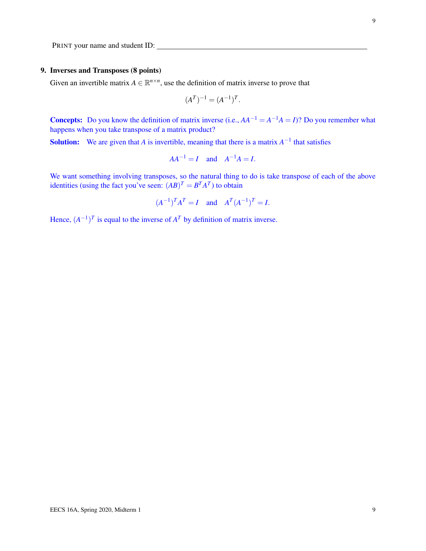## 9. Inverses and Transposes (8 points)

Given an invertible matrix  $A \in \mathbb{R}^{n \times n}$ , use the definition of matrix inverse to prove that

$$
(A^T)^{-1} = (A^{-1})^T.
$$

**Concepts:** Do you know the definition of matrix inverse (i.e.,  $AA^{-1} = A^{-1}A = I$ )? Do you remember what happens when you take transpose of a matrix product?

**Solution:** We are given that *A* is invertible, meaning that there is a matrix  $A^{-1}$  that satisfies

$$
AA^{-1} = I \quad \text{and} \quad A^{-1}A = I.
$$

We want something involving transposes, so the natural thing to do is take transpose of each of the above identities (using the fact you've seen:  $(AB)^T = B^T A^T$ ) to obtain

$$
(A^{-1})^T A^T = I
$$
 and  $A^T (A^{-1})^T = I$ .

Hence,  $(A^{-1})^T$  is equal to the inverse of  $A^T$  by definition of matrix inverse.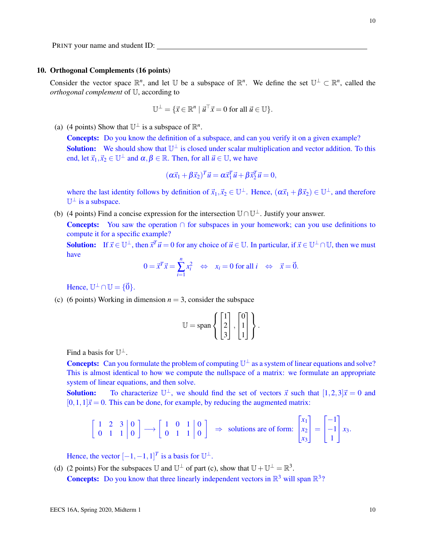### 10. Orthogonal Complements (16 points)

Consider the vector space  $\mathbb{R}^n$ , and let U be a subspace of  $\mathbb{R}^n$ . We define the set  $\mathbb{U}^{\perp} \subset \mathbb{R}^n$ , called the *orthogonal complement* of U, according to

$$
\mathbb{U}^{\perp} = \{ \vec{x} \in \mathbb{R}^n \mid \vec{u}^{\top} \vec{x} = 0 \text{ for all } \vec{u} \in \mathbb{U} \}.
$$

(a) (4 points) Show that  $\mathbb{U}^{\perp}$  is a subspace of  $\mathbb{R}^{n}$ .

Concepts: Do you know the definition of a subspace, and can you verify it on a given example? **Solution:** We should show that  $\mathbb{U}^{\perp}$  is closed under scalar multiplication and vector addition. To this end, let  $\vec{x}_1, \vec{x}_2 \in \mathbb{U}^{\perp}$  and  $\alpha, \beta \in \mathbb{R}$ . Then, for all  $\vec{u} \in \mathbb{U}$ , we have

$$
(\alpha \vec{x}_1 + \beta \vec{x}_2)^T \vec{u} = \alpha \vec{x}_1^T \vec{u} + \beta \vec{x}_2^T \vec{u} = 0,
$$

where the last identity follows by definition of  $\vec{x}_1, \vec{x}_2 \in \mathbb{U}^{\perp}$ . Hence,  $(\alpha \vec{x}_1 + \beta \vec{x}_2) \in \mathbb{U}^{\perp}$ , and therefore  $\mathbb{U}^{\perp}$  is a subspace.

(b) (4 points) Find a concise expression for the intersection  $\mathbb{U}\cap\mathbb{U}^{\perp}$ . Justify your answer.

Concepts: You saw the operation ∩ for subspaces in your homework; can you use definitions to compute it for a specific example?

**Solution:** If  $\vec{x} \in \mathbb{U}^{\perp}$ , then  $\vec{x}^T \vec{u} = 0$  for any choice of  $\vec{u} \in \mathbb{U}$ . In particular, if  $\vec{x} \in \mathbb{U}^{\perp} \cap \mathbb{U}$ , then we must have

$$
0 = \vec{x}^T \vec{x} = \sum_{i=1}^n x_i^2 \quad \Leftrightarrow \quad x_i = 0 \text{ for all } i \quad \Leftrightarrow \quad \vec{x} = \vec{0}.
$$

Hence,  $\mathbb{U}^{\perp} \cap \mathbb{U} = \{ \vec{0} \}.$ 

(c) (6 points) Working in dimension  $n = 3$ , consider the subspace

$$
\mathbb{U} = \text{span}\left\{ \begin{bmatrix} 1 \\ 2 \\ 3 \end{bmatrix}, \begin{bmatrix} 0 \\ 1 \\ 1 \end{bmatrix} \right\}.
$$

Find a basis for  $\mathbb{U}^{\perp}$ .

**Concepts:** Can you formulate the problem of computing  $\mathbb{U}^{\perp}$  as a system of linear equations and solve? This is almost identical to how we compute the nullspace of a matrix: we formulate an appropriate system of linear equations, and then solve.

**Solution:** To characterize  $\mathbb{U}^{\perp}$ , we should find the set of vectors  $\vec{x}$  such that  $[1,2,3]\vec{x} = 0$  and  $[0,1,1]\vec{x} = 0$ . This can be done, for example, by reducing the augmented matrix:

$$
\left[\begin{array}{cc|c}1 & 2 & 3 & 0\\0 & 1 & 1 & 0\end{array}\right] \longrightarrow \left[\begin{array}{cc|c}1 & 0 & 1 & 0\\0 & 1 & 1 & 0\end{array}\right] \Rightarrow \text{ solutions are of form: } \begin{bmatrix}x_1\\x_2\\x_3\end{bmatrix} = \begin{bmatrix}-1\\-1\\1\end{bmatrix}x_3.
$$

Hence, the vector  $[-1, -1, 1]^T$  is a basis for  $\mathbb{U}^{\perp}$ .

(d) (2 points) For the subspaces U and  $\mathbb{U}^{\perp}$  of part (c), show that  $\mathbb{U} + \mathbb{U}^{\perp} = \mathbb{R}^{3}$ .

**Concepts:** Do you know that three linearly independent vectors in  $\mathbb{R}^3$  will span  $\mathbb{R}^3$ ?